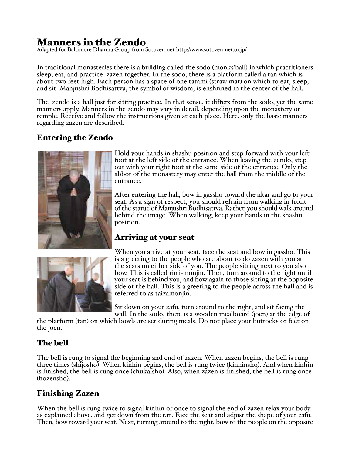# Manners in the Zendo

Adapted for Baltimore Dharma Group from Sotozen-net http://www.sotozen-net.or.jp/

In traditional monasteries there is a building called the sodo (monks'hall) in which practitioners sleep, eat, and practice zazen together. In the sodo, there is a platform called a tan which is about two feet high. Each person has a space of one tatami (straw mat) on which to eat, sleep, and sit. Manjushri Bodhisattva, the symbol of wisdom, is enshrined in the center of the hall.

The zendo is a hall just for sitting practice. In that sense, it differs from the sodo, yet the same manners apply. Manners in the zendo may vary in detail, depending upon the monastery or temple. Receive and follow the instructions given at each place. Here, only the basic manners regarding zazen are described.

## Entering the Zendo



Hold your hands in shashu position and step forward with your left foot at the left side of the entrance. When leaving the zendo, step out with your right foot at the same side of the entrance. Only the abbot of the monastery may enter the hall from the middle of the entrance.

After entering the hall, bow in gassho toward the altar and go to your seat. As a sign of respect, you should refrain from walking in front of the statue of Manjushri Bodhisattva. Rather, you should walk around behind the image. When walking, keep your hands in the shashu position.

#### Arriving at your seat



When you arrive at your seat, face the seat and bow in gassho. This is a greeting to the people who are about to do zazen with you at the seats on either side of you. The people sitting next to you also bow. This is called rin'i-monjin. Then, turn around to the right until your seat is behind you, and bow again to those sitting at the opposite side of the hall. This is a greeting to the people across the hall and is referred to as taizamonjin.

Sit down on your zafu, turn around to the right, and sit facing the wall. In the sodo, there is a wooden mealboard (joen) at the edge of

the platform (tan) on which bowls are set during meals. Do not place your buttocks or feet on the joen.

### The bell

The bell is rung to signal the beginning and end of zazen. When zazen begins, the bell is rung three times (shijosho). When kinhin begins, the bell is rung twice (kinhinsho). And when kinhin is finished, the bell is rung once (chukaisho). Also, when zazen is finished, the bell is rung once (hozensho).

# Finishing Zazen

When the bell is rung twice to signal kinhin or once to signal the end of zazen relax your body as explained above, and get down from the tan. Face the seat and adjust the shape of your zafu. Then, bow toward your seat. Next, turning around to the right, bow to the people on the opposite